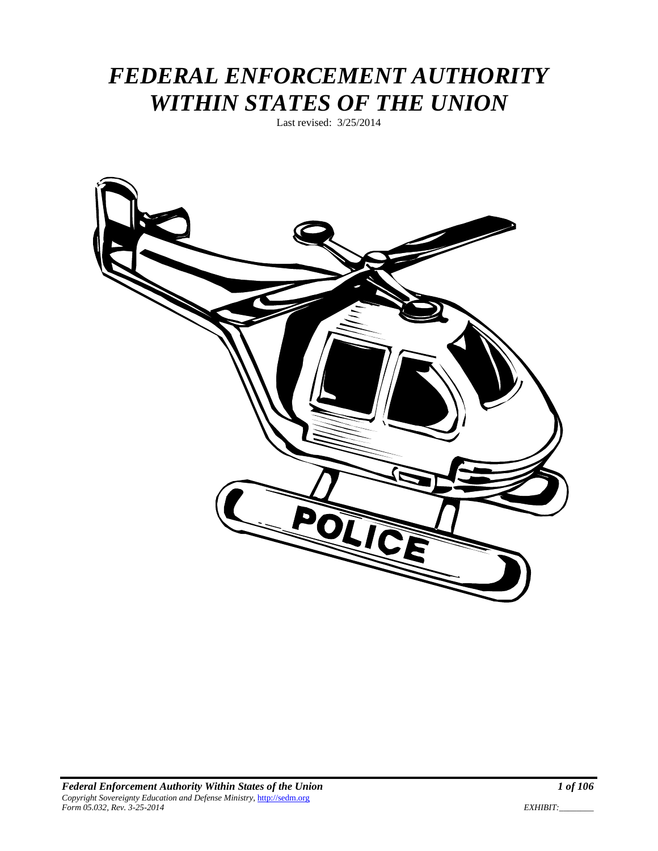# *FEDERAL ENFORCEMENT AUTHORITY WITHIN STATES OF THE UNION*

Last revised: 3/25/2014

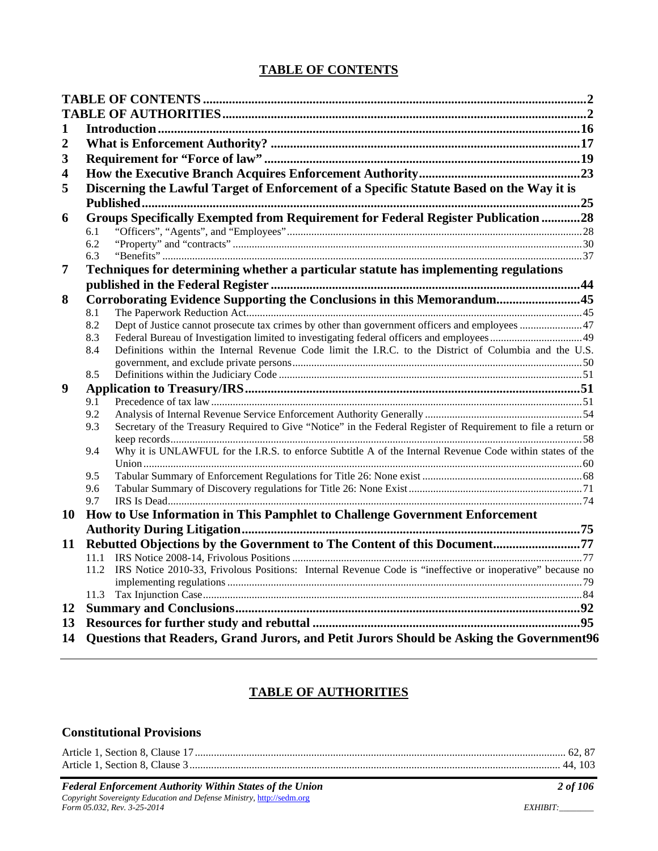#### **TABLE OF CONTENTS**

| 1                       |            |                                                                                                                |  |
|-------------------------|------------|----------------------------------------------------------------------------------------------------------------|--|
| 2                       |            |                                                                                                                |  |
| 3                       |            |                                                                                                                |  |
| $\overline{\mathbf{4}}$ |            |                                                                                                                |  |
| 5                       |            | Discerning the Lawful Target of Enforcement of a Specific Statute Based on the Way it is                       |  |
|                         |            |                                                                                                                |  |
| 6                       |            | Groups Specifically Exempted from Requirement for Federal Register Publication 28                              |  |
|                         | 6.1        |                                                                                                                |  |
|                         | 6.2        |                                                                                                                |  |
|                         | 6.3        |                                                                                                                |  |
| 7                       |            | Techniques for determining whether a particular statute has implementing regulations                           |  |
|                         |            |                                                                                                                |  |
| 8                       |            | Corroborating Evidence Supporting the Conclusions in this Memorandum45                                         |  |
|                         | 8.1<br>8.2 |                                                                                                                |  |
|                         | 8.3        |                                                                                                                |  |
|                         | 8.4        | Definitions within the Internal Revenue Code limit the I.R.C. to the District of Columbia and the U.S.         |  |
|                         |            |                                                                                                                |  |
|                         | 8.5        |                                                                                                                |  |
| 9                       |            |                                                                                                                |  |
|                         | 9.1        |                                                                                                                |  |
|                         | 9.2        |                                                                                                                |  |
|                         | 9.3        | Secretary of the Treasury Required to Give "Notice" in the Federal Register of Requirement to file a return or |  |
|                         | 9.4        | Why it is UNLAWFUL for the I.R.S. to enforce Subtitle A of the Internal Revenue Code within states of the      |  |
|                         |            |                                                                                                                |  |
|                         | 9.5        |                                                                                                                |  |
|                         | 9.6        |                                                                                                                |  |
|                         | 9.7        |                                                                                                                |  |
| 10                      |            | How to Use Information in This Pamphlet to Challenge Government Enforcement                                    |  |
|                         |            |                                                                                                                |  |
| 11                      |            | Rebutted Objections by the Government to The Content of this Document77                                        |  |
|                         |            |                                                                                                                |  |
|                         | 11.2       | IRS Notice 2010-33, Frivolous Positions: Internal Revenue Code is "ineffective or inoperative" because no      |  |
|                         |            |                                                                                                                |  |
|                         |            |                                                                                                                |  |
| 12                      |            |                                                                                                                |  |
| 13                      |            |                                                                                                                |  |
| 14                      |            | Questions that Readers, Grand Jurors, and Petit Jurors Should be Asking the Government96                       |  |

### **TABLE OF AUTHORITIES**

#### **Constitutional Provisions**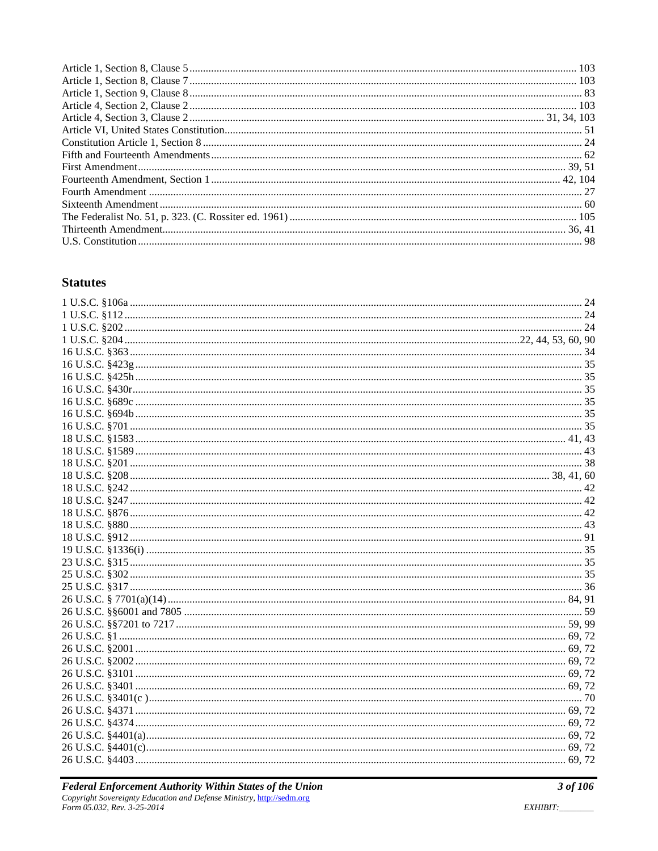#### **Statutes**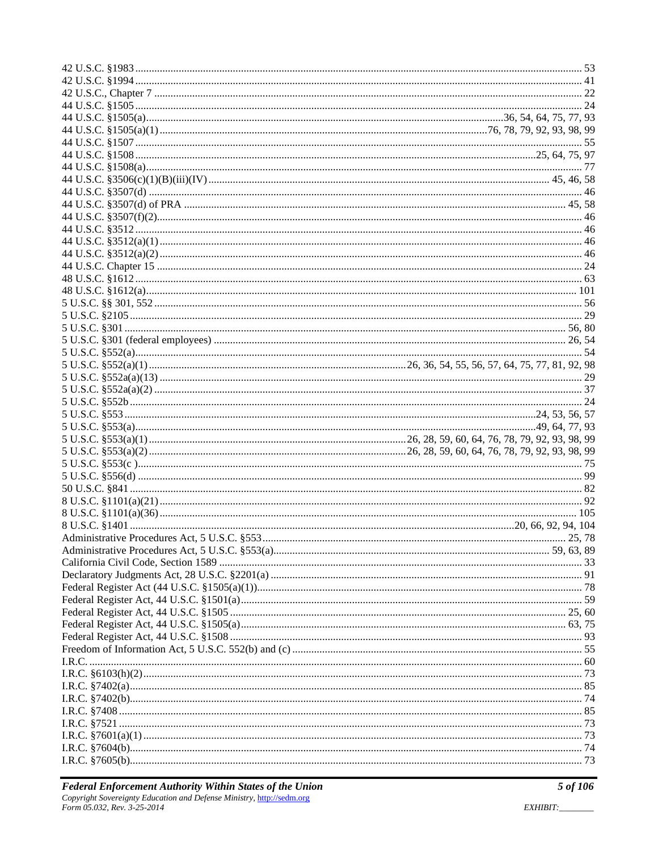| 55     |
|--------|
|        |
|        |
|        |
|        |
|        |
|        |
|        |
|        |
|        |
|        |
|        |
|        |
|        |
|        |
|        |
|        |
|        |
|        |
|        |
|        |
|        |
|        |
|        |
|        |
|        |
|        |
|        |
|        |
|        |
|        |
|        |
| 25, 78 |
|        |
|        |
|        |
|        |
|        |
|        |
|        |
|        |
|        |
|        |
|        |
|        |
|        |
|        |
|        |
|        |
|        |
|        |
|        |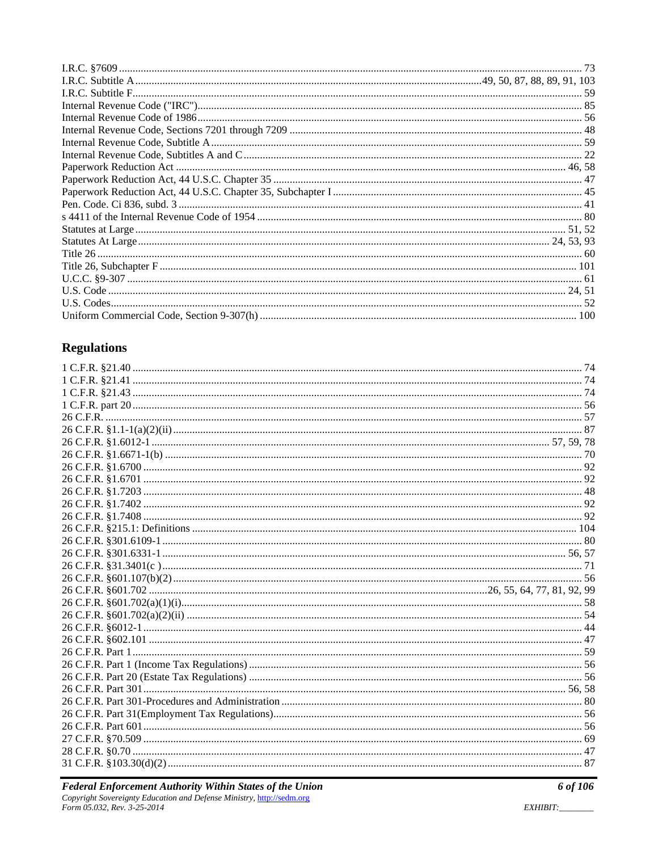# **Regulations**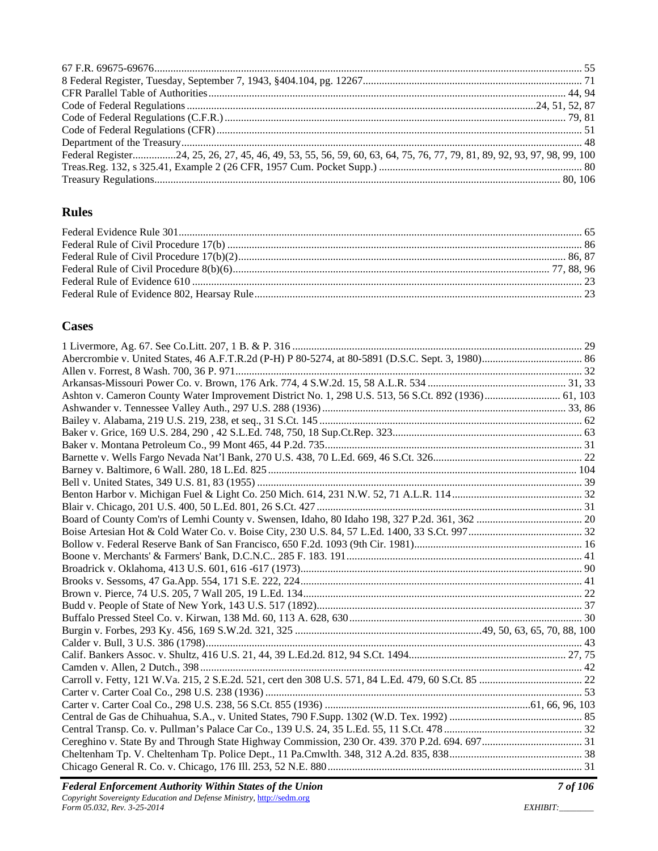| Federal Register24, 25, 26, 27, 45, 46, 49, 53, 55, 56, 59, 60, 63, 64, 75, 76, 77, 79, 81, 89, 92, 93, 97, 98, 99, 100 |  |
|-------------------------------------------------------------------------------------------------------------------------|--|
|                                                                                                                         |  |
|                                                                                                                         |  |

### **Rules**

#### **Cases**

| Ashton v. Cameron County Water Improvement District No. 1, 298 U.S. 513, 56 S.Ct. 892 (1936) 61, 103 |  |
|------------------------------------------------------------------------------------------------------|--|
|                                                                                                      |  |
|                                                                                                      |  |
|                                                                                                      |  |
|                                                                                                      |  |
|                                                                                                      |  |
|                                                                                                      |  |
|                                                                                                      |  |
|                                                                                                      |  |
|                                                                                                      |  |
|                                                                                                      |  |
|                                                                                                      |  |
|                                                                                                      |  |
|                                                                                                      |  |
|                                                                                                      |  |
|                                                                                                      |  |
|                                                                                                      |  |
|                                                                                                      |  |
|                                                                                                      |  |
|                                                                                                      |  |
|                                                                                                      |  |
|                                                                                                      |  |
|                                                                                                      |  |
|                                                                                                      |  |
|                                                                                                      |  |
|                                                                                                      |  |
|                                                                                                      |  |
|                                                                                                      |  |
|                                                                                                      |  |
|                                                                                                      |  |
|                                                                                                      |  |
|                                                                                                      |  |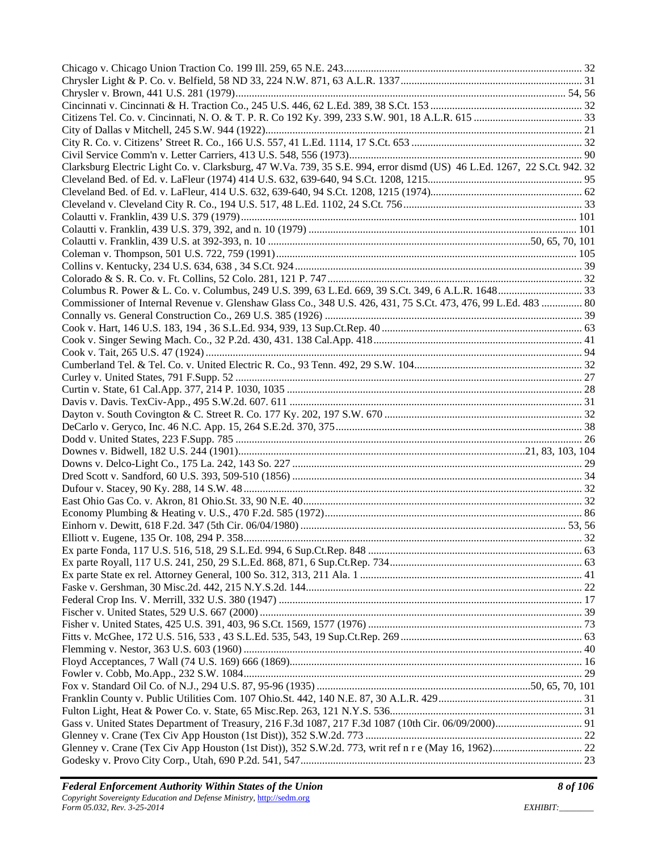| Clarksburg Electric Light Co. v. Clarksburg, 47 W.Va. 739, 35 S.E. 994, error dismd (US) 46 L.Ed. 1267, 22 S.Ct. 942. 32 |  |
|--------------------------------------------------------------------------------------------------------------------------|--|
|                                                                                                                          |  |
|                                                                                                                          |  |
|                                                                                                                          |  |
|                                                                                                                          |  |
|                                                                                                                          |  |
|                                                                                                                          |  |
|                                                                                                                          |  |
|                                                                                                                          |  |
|                                                                                                                          |  |
|                                                                                                                          |  |
| Commissioner of Internal Revenue v. Glenshaw Glass Co., 348 U.S. 426, 431, 75 S.Ct. 473, 476, 99 L.Ed. 483  80           |  |
|                                                                                                                          |  |
|                                                                                                                          |  |
|                                                                                                                          |  |
|                                                                                                                          |  |
|                                                                                                                          |  |
|                                                                                                                          |  |
|                                                                                                                          |  |
|                                                                                                                          |  |
|                                                                                                                          |  |
|                                                                                                                          |  |
|                                                                                                                          |  |
|                                                                                                                          |  |
|                                                                                                                          |  |
|                                                                                                                          |  |
|                                                                                                                          |  |
|                                                                                                                          |  |
|                                                                                                                          |  |
|                                                                                                                          |  |
|                                                                                                                          |  |
|                                                                                                                          |  |
|                                                                                                                          |  |
|                                                                                                                          |  |
|                                                                                                                          |  |
|                                                                                                                          |  |
|                                                                                                                          |  |
|                                                                                                                          |  |
|                                                                                                                          |  |
|                                                                                                                          |  |
|                                                                                                                          |  |
|                                                                                                                          |  |
|                                                                                                                          |  |
|                                                                                                                          |  |
|                                                                                                                          |  |
|                                                                                                                          |  |
|                                                                                                                          |  |
|                                                                                                                          |  |
|                                                                                                                          |  |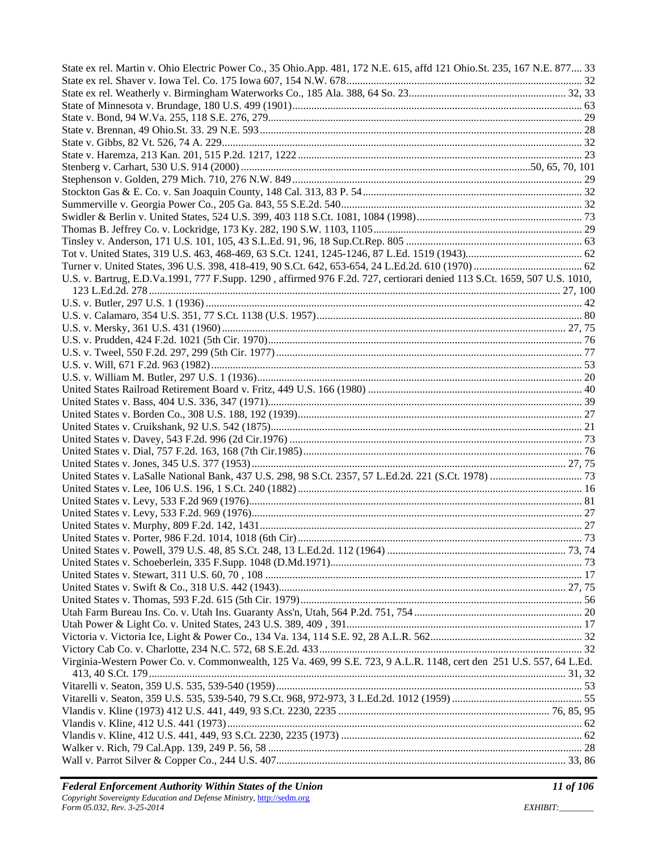| State ex rel. Martin v. Ohio Electric Power Co., 35 Ohio.App. 481, 172 N.E. 615, affd 121 Ohio.St. 235, 167 N.E. 877 33  |  |
|--------------------------------------------------------------------------------------------------------------------------|--|
|                                                                                                                          |  |
|                                                                                                                          |  |
|                                                                                                                          |  |
|                                                                                                                          |  |
|                                                                                                                          |  |
|                                                                                                                          |  |
|                                                                                                                          |  |
|                                                                                                                          |  |
|                                                                                                                          |  |
|                                                                                                                          |  |
|                                                                                                                          |  |
|                                                                                                                          |  |
|                                                                                                                          |  |
|                                                                                                                          |  |
|                                                                                                                          |  |
| U.S. v. Bartrug, E.D.Va.1991, 777 F.Supp. 1290, affirmed 976 F.2d. 727, certiorari denied 113 S.Ct. 1659, 507 U.S. 1010, |  |
|                                                                                                                          |  |
|                                                                                                                          |  |
|                                                                                                                          |  |
|                                                                                                                          |  |
|                                                                                                                          |  |
|                                                                                                                          |  |
|                                                                                                                          |  |
|                                                                                                                          |  |
|                                                                                                                          |  |
|                                                                                                                          |  |
|                                                                                                                          |  |
|                                                                                                                          |  |
|                                                                                                                          |  |
|                                                                                                                          |  |
|                                                                                                                          |  |
|                                                                                                                          |  |
|                                                                                                                          |  |
|                                                                                                                          |  |
|                                                                                                                          |  |
|                                                                                                                          |  |
|                                                                                                                          |  |
|                                                                                                                          |  |
|                                                                                                                          |  |
|                                                                                                                          |  |
|                                                                                                                          |  |
|                                                                                                                          |  |
|                                                                                                                          |  |
|                                                                                                                          |  |
|                                                                                                                          |  |
|                                                                                                                          |  |
| Virginia-Western Power Co. v. Commonwealth, 125 Va. 469, 99 S.E. 723, 9 A.L.R. 1148, cert den 251 U.S. 557, 64 L.Ed.     |  |
|                                                                                                                          |  |
|                                                                                                                          |  |
|                                                                                                                          |  |
|                                                                                                                          |  |
|                                                                                                                          |  |
|                                                                                                                          |  |
|                                                                                                                          |  |
|                                                                                                                          |  |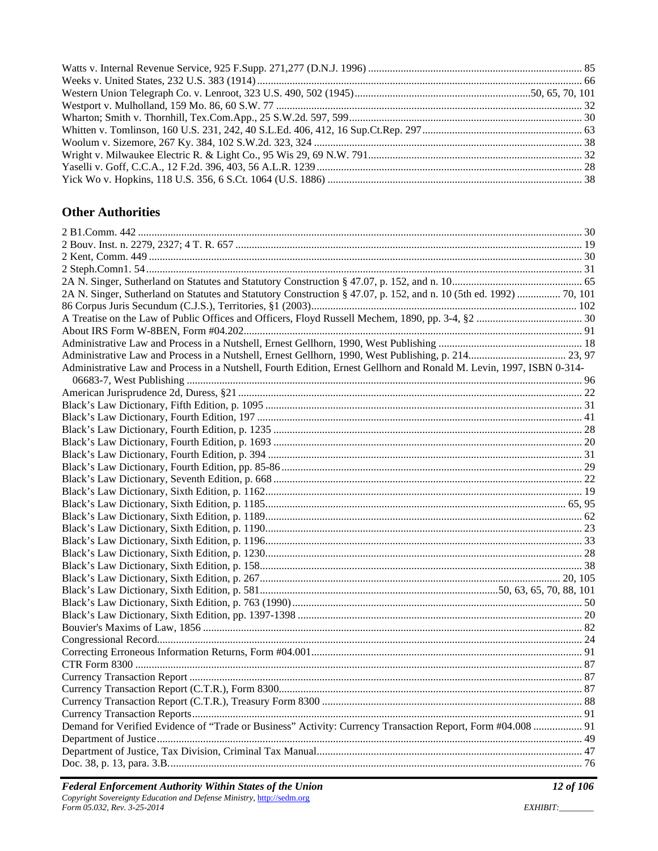# **Other Authorities**

| 2A N. Singer, Sutherland on Statutes and Statutory Construction § 47.07, p. 152, and n. 10 (5th ed. 1992)  70, 101   |  |
|----------------------------------------------------------------------------------------------------------------------|--|
|                                                                                                                      |  |
|                                                                                                                      |  |
|                                                                                                                      |  |
|                                                                                                                      |  |
|                                                                                                                      |  |
| Administrative Law and Process in a Nutshell, Fourth Edition, Ernest Gellhorn and Ronald M. Levin, 1997, ISBN 0-314- |  |
|                                                                                                                      |  |
|                                                                                                                      |  |
|                                                                                                                      |  |
|                                                                                                                      |  |
|                                                                                                                      |  |
|                                                                                                                      |  |
|                                                                                                                      |  |
|                                                                                                                      |  |
|                                                                                                                      |  |
|                                                                                                                      |  |
|                                                                                                                      |  |
|                                                                                                                      |  |
|                                                                                                                      |  |
|                                                                                                                      |  |
|                                                                                                                      |  |
|                                                                                                                      |  |
|                                                                                                                      |  |
|                                                                                                                      |  |
|                                                                                                                      |  |
|                                                                                                                      |  |
|                                                                                                                      |  |
|                                                                                                                      |  |
|                                                                                                                      |  |
|                                                                                                                      |  |
|                                                                                                                      |  |
|                                                                                                                      |  |
|                                                                                                                      |  |
|                                                                                                                      |  |
| Demand for Verified Evidence of "Trade or Business" Activity: Currency Transaction Report, Form #04.008  91          |  |
|                                                                                                                      |  |
|                                                                                                                      |  |
|                                                                                                                      |  |
|                                                                                                                      |  |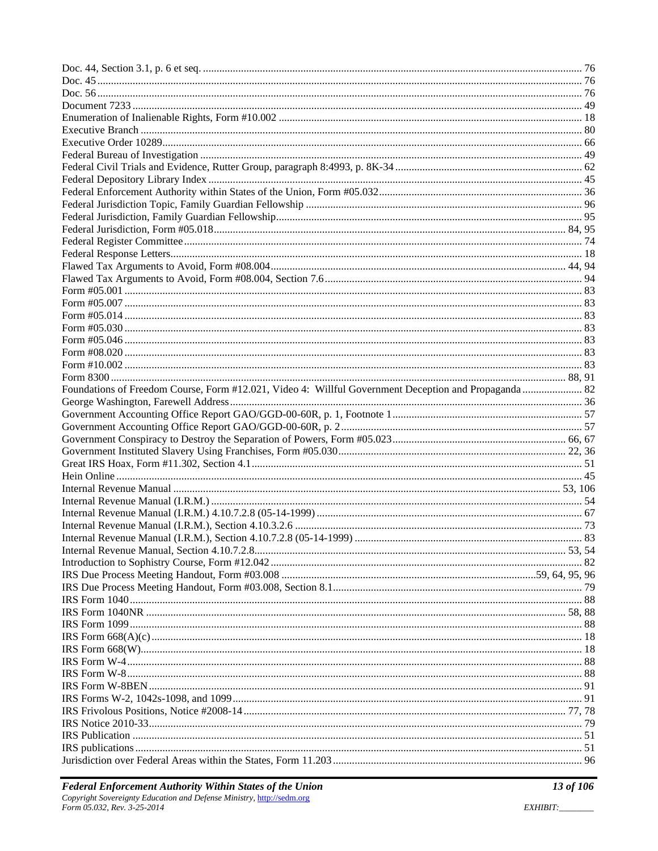| Foundations of Freedom Course, Form #12.021, Video 4: Willful Government Deception and Propaganda  82 |  |
|-------------------------------------------------------------------------------------------------------|--|
|                                                                                                       |  |
|                                                                                                       |  |
|                                                                                                       |  |
|                                                                                                       |  |
|                                                                                                       |  |
|                                                                                                       |  |
|                                                                                                       |  |
|                                                                                                       |  |
|                                                                                                       |  |
|                                                                                                       |  |
|                                                                                                       |  |
|                                                                                                       |  |
|                                                                                                       |  |
|                                                                                                       |  |
|                                                                                                       |  |
|                                                                                                       |  |
|                                                                                                       |  |
|                                                                                                       |  |
|                                                                                                       |  |
|                                                                                                       |  |
|                                                                                                       |  |
|                                                                                                       |  |
|                                                                                                       |  |
|                                                                                                       |  |
|                                                                                                       |  |
|                                                                                                       |  |
|                                                                                                       |  |
|                                                                                                       |  |
|                                                                                                       |  |
|                                                                                                       |  |
|                                                                                                       |  |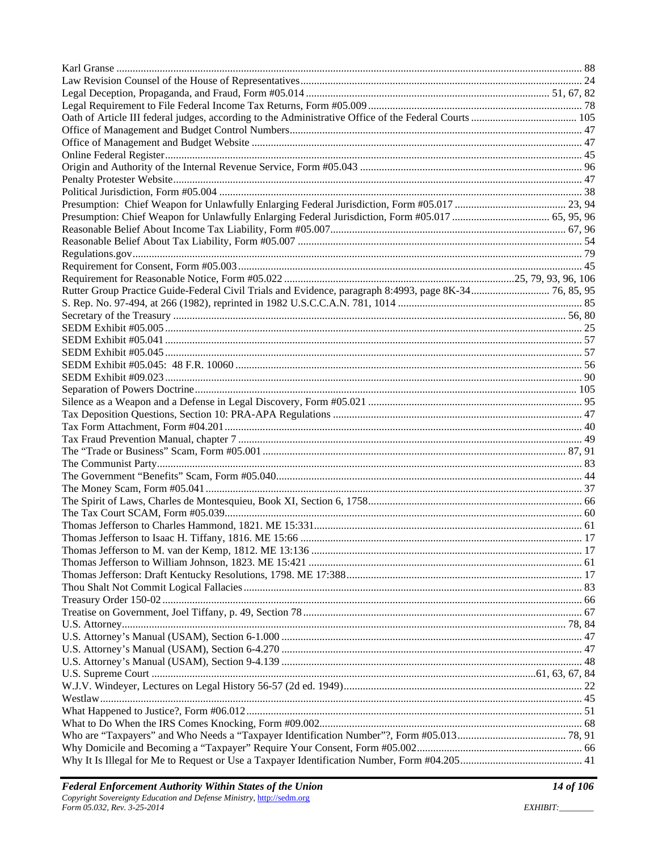| Rutter Group Practice Guide-Federal Civil Trials and Evidence, paragraph 8:4993, page 8K-34 76, 85, 95 |  |
|--------------------------------------------------------------------------------------------------------|--|
|                                                                                                        |  |
|                                                                                                        |  |
|                                                                                                        |  |
|                                                                                                        |  |
|                                                                                                        |  |
|                                                                                                        |  |
|                                                                                                        |  |
|                                                                                                        |  |
|                                                                                                        |  |
|                                                                                                        |  |
|                                                                                                        |  |
|                                                                                                        |  |
|                                                                                                        |  |
|                                                                                                        |  |
|                                                                                                        |  |
|                                                                                                        |  |
|                                                                                                        |  |
|                                                                                                        |  |
|                                                                                                        |  |
|                                                                                                        |  |
|                                                                                                        |  |
|                                                                                                        |  |
|                                                                                                        |  |
|                                                                                                        |  |
|                                                                                                        |  |
|                                                                                                        |  |
|                                                                                                        |  |
|                                                                                                        |  |
|                                                                                                        |  |
|                                                                                                        |  |
|                                                                                                        |  |
|                                                                                                        |  |
|                                                                                                        |  |
|                                                                                                        |  |
|                                                                                                        |  |
|                                                                                                        |  |
|                                                                                                        |  |
|                                                                                                        |  |
|                                                                                                        |  |
|                                                                                                        |  |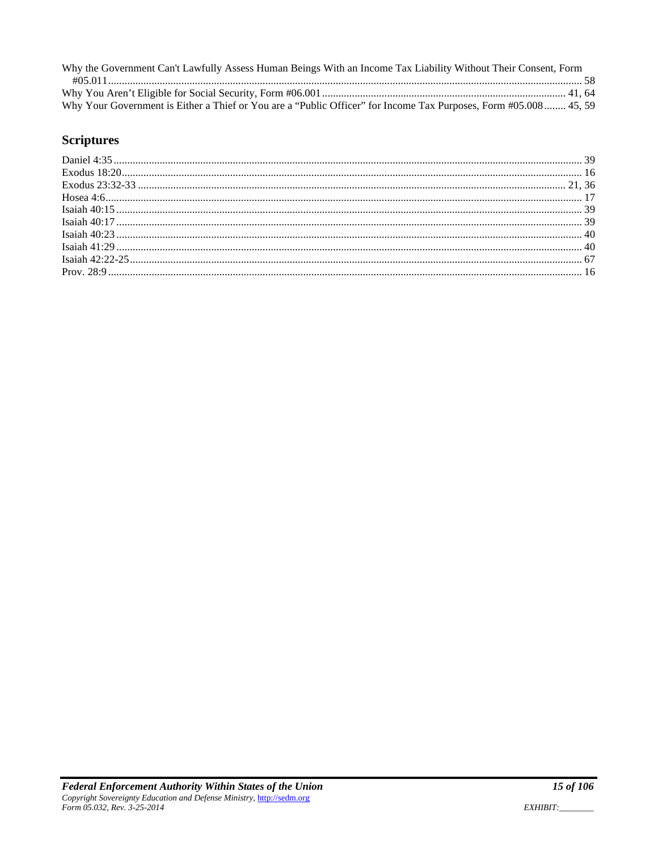| Why the Government Can't Lawfully Assess Human Beings With an Income Tax Liability Without Their Consent, Form   |  |
|------------------------------------------------------------------------------------------------------------------|--|
|                                                                                                                  |  |
|                                                                                                                  |  |
| Why Your Government is Either a Thief or You are a "Public Officer" for Income Tax Purposes, Form #05.008 45, 59 |  |

# **Scriptures**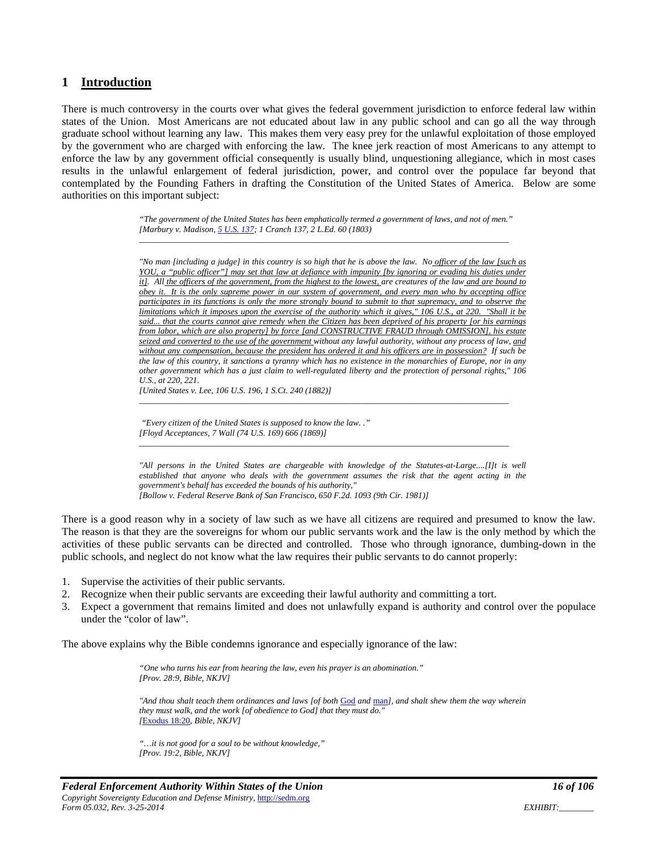#### **1 Introduction**

There is much controversy in the courts over what gives the federal government jurisdiction to enforce federal law within states of the Union. Most Americans are not educated about law in any public school and can go all the way through graduate school without learning any law. This makes them very easy prey for the unlawful exploitation of those employed by the government who are charged with enforcing the law. The knee jerk reaction of most Americans to any attempt to enforce the law by any government official consequently is usually blind, unquestioning allegiance, which in most cases results in the unlawful enlargement of federal jurisdiction, power, and control over the populace far beyond that contemplated by the Founding Fathers in drafting the Constitution of the United States of America. Below are some authorities on this important subject:

> *"The government of the United States has been emphatically termed a government of laws, and not of men." [Marbury v. Madison, 5 U.S. 137; 1 Cranch 137, 2 L.Ed. 60 (1803) \_\_\_\_\_\_\_\_\_\_\_\_\_\_\_\_\_\_\_\_\_\_\_\_\_\_\_\_\_\_\_\_\_\_\_\_\_\_\_\_\_\_\_\_\_\_\_\_\_\_\_\_\_\_\_\_\_\_\_\_\_\_\_\_\_\_\_\_\_\_\_\_\_\_\_\_\_\_\_\_\_\_\_\_\_\_*

*"No man [including a judge] in this country is so high that he is above the law. No officer of the law [such as YOU, a "public officer"] may set that law at defiance with impunity [by ignoring or evading his duties under it]. All the officers of the government, from the highest to the lowest, are creatures of the law and are bound to obey it. It is the only supreme power in our system of government, and every man who by accepting office participates in its functions is only the more strongly bound to submit to that supremacy, and to observe the limitations which it imposes upon the exercise of the authority which it gives," 106 U.S., at 220. "Shall it be said... that the courts cannot give remedy when the Citizen has been deprived of his property [or his earnings from labor, which are also property] by force [and CONSTRUCTIVE FRAUD through OMISSION], his estate seized and converted to the use of the government without any lawful authority, without any process of law, and without any compensation, because the president has ordered it and his officers are in possession? If such be the law of this country, it sanctions a tyranny which has no existence in the monarchies of Europe, nor in any other government which has a just claim to well-regulated liberty and the protection of personal rights," 106 U.S., at 220, 221.* 

*\_\_\_\_\_\_\_\_\_\_\_\_\_\_\_\_\_\_\_\_\_\_\_\_\_\_\_\_\_\_\_\_\_\_\_\_\_\_\_\_\_\_\_\_\_\_\_\_\_\_\_\_\_\_\_\_\_\_\_\_\_\_\_\_\_\_\_\_\_\_\_\_\_\_\_\_\_\_\_\_\_\_\_\_\_\_* 

*\_\_\_\_\_\_\_\_\_\_\_\_\_\_\_\_\_\_\_\_\_\_\_\_\_\_\_\_\_\_\_\_\_\_\_\_\_\_\_\_\_\_\_\_\_\_\_\_\_\_\_\_\_\_\_\_\_\_\_\_\_\_\_\_\_\_\_\_\_\_\_\_\_\_\_\_\_\_\_\_\_\_\_\_\_\_* 

*[United States v. Lee, 106 U.S. 196, 1 S.Ct. 240 (1882)]* 

 *"Every citizen of the United States is supposed to know the law. ." [Floyd Acceptances, 7 Wall (74 U.S. 169) 666 (1869)]* 

*"All persons in the United States are chargeable with knowledge of the Statutes-at-Large....[I]t is well established that anyone who deals with the government assumes the risk that the agent acting in the government's behalf has exceeded the bounds of his authority," [Bollow v. Federal Reserve Bank of San Francisco, 650 F.2d. 1093 (9th Cir. 1981)]* 

There is a good reason why in a society of law such as we have all citizens are required and presumed to know the law. The reason is that they are the sovereigns for whom our public servants work and the law is the only method by which the activities of these public servants can be directed and controlled. Those who through ignorance, dumbing-down in the public schools, and neglect do not know what the law requires their public servants to do cannot properly:

- 1. Supervise the activities of their public servants.
- 2. Recognize when their public servants are exceeding their lawful authority and committing a tort.
- 3. Expect a government that remains limited and does not unlawfully expand is authority and control over the populace under the "color of law".

The above explains why the Bible condemns ignorance and especially ignorance of the law:

*"One who turns his ear from hearing the law, even his prayer is an abomination." [Prov. 28:9, Bible, NKJV]* 

*"And thou shalt teach them ordinances and laws [of both* God *and* man*], and shalt shew them the way wherein they must walk, and the work [of obedience to God] that they must do." [*Exodus 18:20*, Bible, NKJV]* 

*"…it is not good for a soul to be without knowledge," [Prov. 19:2, Bible, NKJV]*